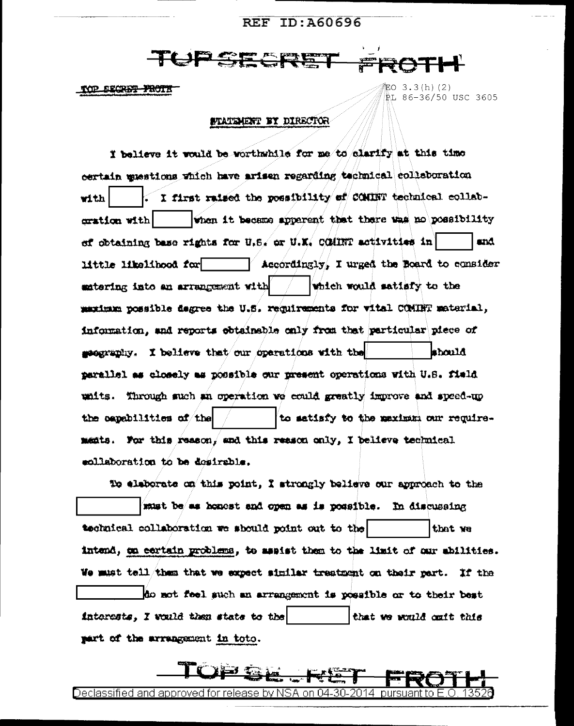# **REF ID: A60696**

TOP SECRET FROTT

缸O 3.3(h)(2) ŘL 86-36/50 USC 3605

### STATEMENT BY DIRECTOR

I believe it would be worthwhile for me to clarify at this time certain muestions which have arisen regarding technical collaboration I first raised the possibility of COMBT technical collabwith when it became apparent that there was no possibility cration with ef obtaining base rights for U.S. or U.K. COMINT activities in and. little likelihood for Accordingly, I urged the Board to consider which would satisfy to the extering into an arrangement with maximum possible degree the U.S. requirements for vital COMINT material, information, and reports obtainable only from that particular piece of seconomiy. I believe that our operations with the should. parallel as closely as possible our present operations with U.S. field units. Through such an operation we could greatly improve and speed-up the capabilities of the to satisfy to the maximum our requirements. For this reason, and this reason only, I believe technical ecllaboration to be desirable.

To eleborate on this point, I strongly believe our approach to the must be as honest and open as is possible. In discussing technical collaboration we should point out to the that ye intend, on certain problems, to assist them to the limit of our abilities. We must tell/them that we expect similar treatment on their part. If the do not feel such an arrangement is possible or to their best interests, I would then state to the that we would outt this part of the arrangement in toto.

Declassified and approved for release by NSA on 04-30-2014 pursuant to E

ੇ≱¥ਤ ਵਲ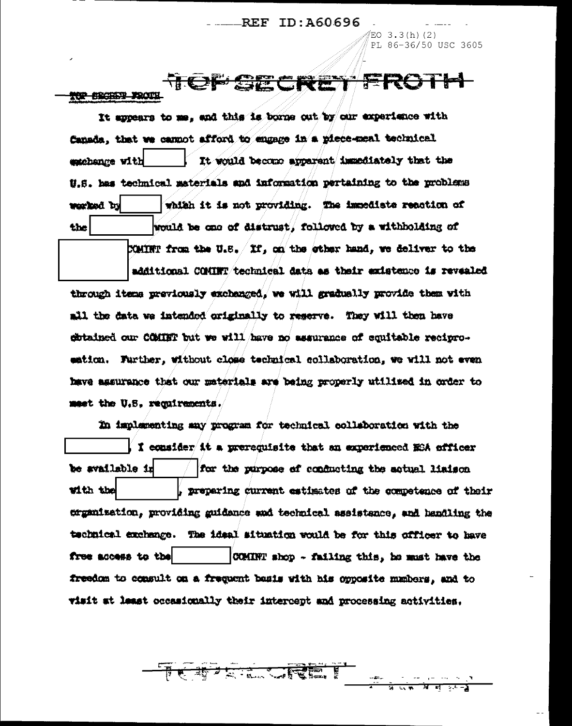## **REF ID: A60696**

EO  $3.3(h)$  (2) PL 86-36/50 USC 3605

म न

#### TCF SE CRET TOP SECRET FROM

It appears to me, and this is borne out by our experience with Canada, that we cannot afford to engage in a piece-meal technical It would become apparent immediately that the exchange with U.S. has technical materials and information pertaining to the problems which it is not providing. The immediate reaction of kd bed and would be one of distrust, followed by a withholding of the

COMINT from the U.S.  $/$  If, on the ether hand, we deliver to the

additional COMINT/technical data as their existence is revealed through items previously exchanged, we will gradually provide them with all the data we intended originally to reserve. They will then have citained our COMINT but we will have no assurance of equitable reciproeation. Further, without close technical collaboration, we will not even have agsurance that our materials are being properly utilized in order to meet the U.S. requirements.

In implementing any program for technical collaboration with the I consider it a prerequisite that an experienced ESA officer be available in for the purpose of conducting the actual liaison with the preparing current estimates of the competence of their creanization, providing enidance and technical assistance, and handling the technical exchange. The ideal situation would be for this officer to have free access to the COMINT shop - failing this, he must have the freedom to consult on a frequent basis with his opposite manbers, and to visit at least occasionally their intercept and processing activities.

**我才只是一天才受雇**